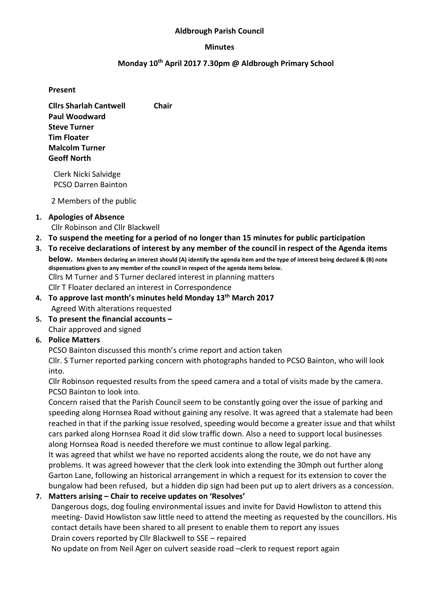#### Aldbrough Parish Council

#### Minutes

### Monday 10th April 2017 7.30pm @ Aldbrough Primary School

#### Present

Cllrs Sharlah Cantwell Chair Paul Woodward Steve Turner Tim Floater Malcolm Turner Geoff North

Clerk Nicki Salvidge PCSO Darren Bainton

2 Members of the public

### 1. Apologies of Absence Cllr Robinson and Cllr Blackwell

- 2. To suspend the meeting for a period of no longer than 15 minutes for public participation
- 3. To receive declarations of interest by any member of the council in respect of the Agenda items below. Members declaring an interest should (A) identify the agenda item and the type of interest being declared & (B) note dispensations given to any member of the council in respect of the agenda items below. Cllrs M Turner and S Turner declared interest in planning matters Cllr T Floater declared an interest in Correspondence
- 4. To approve last month's minutes held Monday 13<sup>th</sup> March 2017 Agreed With alterations requested
- 5. To present the financial accounts Chair approved and signed

## 6. Police Matters

PCSO Bainton discussed this month's crime report and action taken

Cllr. S Turner reported parking concern with photographs handed to PCSO Bainton, who will look into.

Cllr Robinson requested results from the speed camera and a total of visits made by the camera. PCSO Bainton to look into.

Concern raised that the Parish Council seem to be constantly going over the issue of parking and speeding along Hornsea Road without gaining any resolve. It was agreed that a stalemate had been reached in that if the parking issue resolved, speeding would become a greater issue and that whilst cars parked along Hornsea Road it did slow traffic down. Also a need to support local businesses along Hornsea Road is needed therefore we must continue to allow legal parking.

It was agreed that whilst we have no reported accidents along the route, we do not have any problems. It was agreed however that the clerk look into extending the 30mph out further along Garton Lane, following an historical arrangement in which a request for its extension to cover the bungalow had been refused, but a hidden dip sign had been put up to alert drivers as a concession.

## 7. Matters arising – Chair to receive updates on 'Resolves'

Dangerous dogs, dog fouling environmental issues and invite for David Howliston to attend this meeting- David Howliston saw little need to attend the meeting as requested by the councillors. His contact details have been shared to all present to enable them to report any issues Drain covers reported by Cllr Blackwell to SSE – repaired

No update on from Neil Ager on culvert seaside road –clerk to request report again